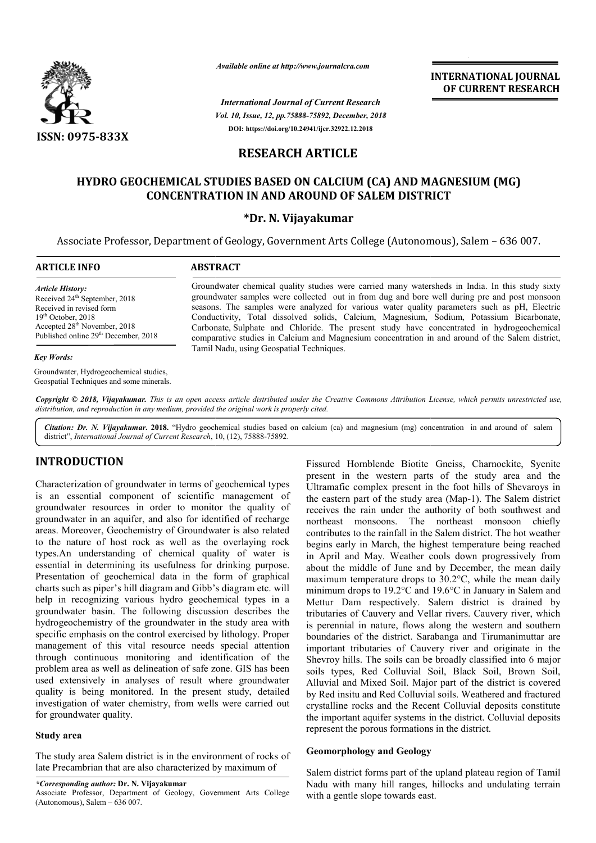

*Available online at http://www.journalcra.com*

*Vol. 10, Issue, 12, pp.75888-75892, December, 2018 International Journal of Current Research* **DOI: https://doi.org/10.24941/ijcr.32922.12.2018**

**INTERNATIONAL JOURNAL OF CURRENT RESEARCH**

# **RESEARCH ARTICLE**

# **HYDRO GEOCHEMICAL STUDIES BASED ON CALCIUM (CA) AND MAGNESIUM (MG) CONCENTRATION IN AND AROUND OF SALEM DISTRICT**

## **\*Dr. N. Vijayakumar**

Associate Professor, Department of Geology, Government Arts College (Autonomous), Salem – 636 007.

| <b>ARTICLE INFO</b>                              | <b>ABSTRACT</b>                                                                                 |  |  |  |  |
|--------------------------------------------------|-------------------------------------------------------------------------------------------------|--|--|--|--|
| <b>Article History:</b>                          | Groundwater chemical quality studies were carried many watersheds in India. In this study sixty |  |  |  |  |
| Received 24 <sup>th</sup> September, 2018        | groundwater samples were collected out in from dug and bore well during pre and post monsoon    |  |  |  |  |
| Received in revised form                         | seasons. The samples were analyzed for various water quality parameters such as pH, Electric    |  |  |  |  |
| $19th$ October, 2018                             | Conductivity, Total dissolved solids, Calcium, Magnesium, Sodium, Potassium Bicarbonate,        |  |  |  |  |
| Accepted $28th$ November, 2018                   | Carbonate, Sulphate and Chloride. The present study have concentrated in hydrogeochemical       |  |  |  |  |
| Published online 29 <sup>th</sup> December, 2018 | comparative studies in Calcium and Magnesium concentration in and around of the Salem district, |  |  |  |  |

Tamil Nadu, using Geospatial Techniques.

#### *Key Words:*

Groundwater, Hydrogeochemical studies, Geospatial Techniques and some minerals.

Copyright © 2018, Vijayakumar. This is an open access article distributed under the Creative Commons Attribution License, which permits unrestricted use, *distribution, and reproduction in any medium, provided the original work is properly cited.*

Citation: Dr. N. Vijayakumar. 2018. "Hydro geochemical studies based on calcium (ca) and magnesium (mg) concentration in and around of salem district", International Journal of Current Research, 10, (12), 75888-75892.

# **INTRODUCTION**

Characterization of groundwater in terms of geochemical types is an essential component of scientific management of groundwater resources in order to monitor the quality of groundwater in an aquifer, and also for identified of recharge areas. Moreover, Geochemistry of Groundwater is also related to the nature of host rock as well as the overlaying rock types.An understanding of chemical quality of water is essential in determining its usefulness for drinking purpose. Presentation of geochemical data in the form of graphical charts such as piper's hill diagram and Gibb's diagram etc. will help in recognizing various hydro geochemical types in a groundwater basin. The following discussion describes the hydrogeochemistry of the groundwater in the study area with specific emphasis on the control exercised by lithology. Proper management of this vital resource needs special attention through continuous monitoring and identification of the problem area as well as delineation of safe zone. GIS has been used extensively in analyses of result where groundwater quality is being monitored. In the present study, detailed investigation of water chemistry, from wells were carried out for groundwater quality.

#### **Study area**

The study area Salem district is in the environment of rocks of late Precambrian that are also characterized by maximum of

*\*Corresponding author:* **Dr. N. Vijayakumar**

**CODUCTION**<br>
Fissured Hornblende Biotite Gneiss, Charnockite, Syenite<br>
terization of groundwater in terms of geochemical types<br>
Ultramafic complex present in the foot hills of Shevaroys in<br>
essential component of scientifi present in the western parts of the study area and the Ultramafic complex present in the foot hills of Shevaroys in the eastern part of the study area (Map-1). The Salem district receives the rain under the authority of both southwest and northeast monsoons. The northeast monsoon chiefly contributes to the rainfall in the Salem district. The hot weather begins early in March, the highest temperature being reached in April and May. Weather cools down progressively from about the middle of June and by December, the mean daily maximum temperature drops to 30.2°C, while the mean daily minimum drops to 19.2°C and 19.6°C in January in Salem and receives the rain under the authority of both southwest and<br>northeast monsoons. The northeast monsoon chiefly<br>contributes to the rainfall in the Salem district. The hot weather<br>begins early in March, the highest temperatur tributaries of Cauvery and Vellar rivers. Cauvery river, which is perennial in nature, flows along the western and southern boundaries of the district. Sarabanga and Tirumanimuttar are important tributaries of Cauvery river and originate in the Shevroy hills. The soils can be broadly classified into 6 major soils types, Red Colluvial Soil, Black Soil, Brown Soil, Alluvial and Mixed Soil. Major part of the district is covered by Red insitu and Red Colluvial soils. Weathered and fractured crystalline rocks and the Recent Colluvial deposits constitute the important aquifer systems in the district. Colluvial deposits represent the porous formations in the district. ured Hornblende Biotite Gneiss, Charnockite, Syenite<br>sent in the western parts of the study area and the<br>amafic complex present in the foot hills of Shevaroys in<br>eastern part of the study area (Map-1). The Salem district butaries of Cauvery and Vellar rivers. Cauvery river, which perennial in nature, flows along the western and southern undaries of the district. Sarabanga and Tirumanimuttar are portant tributaries of Cauvery river and orig INTERNATIONAL JOURNAL<br>
The method of CURRENT RESEARCH<br>
Corembrical of CURRENT RESEARCH<br>
2.12. December, 2018<br>
3. 2. 2028<br>
11CLLE<br>
3. 2. 2028<br>
11CLLE<br>
2. 2. 2028<br>
12CLUM (CA) AND MAGNESIUM (MG)<br>
ND OF SALEM DISTRICT<br>
Umrar<br>

#### **Geomorphology and Geology Geomorphology and**

Salem district forms part of the upland plateau region of Tamil Nadu with many hill ranges, hillocks and undulating terrain with a gentle slope towards east.

Associate Professor, Department of Geology, Government Arts College (Autonomous), Salem  $-636007$ .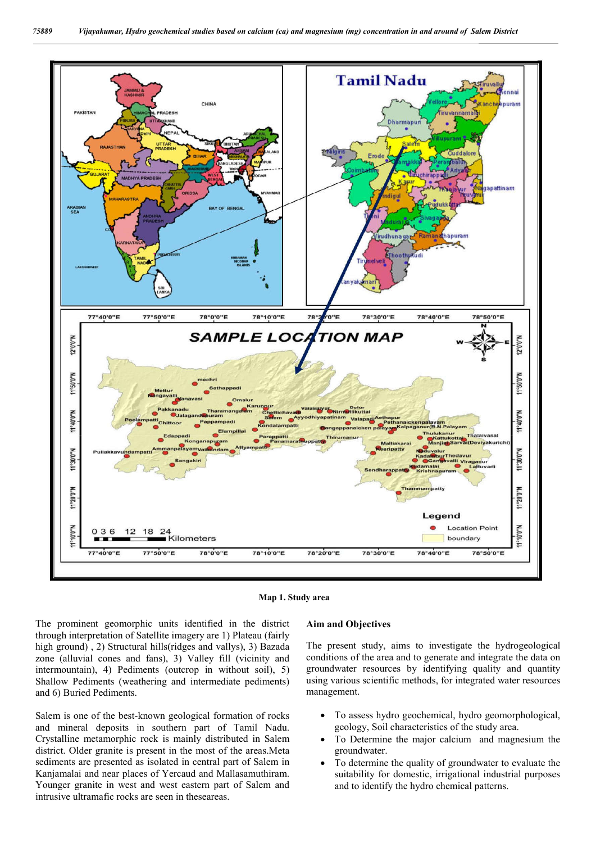

![](_page_1_Figure_2.jpeg)

The prominent geomorphic units identified in the district through interpretation of Satellite imagery are 1) Plateau (fairly high ground) , 2) Structural hills(ridges and vallys), 3) Bazada zone (alluvial cones and fans), 3) Valley fill (vicinity and intermountain), 4) Pediments (outcrop in without soil), 5) Shallow Pediments (weathering and intermediate pediments) and 6) Buried Pediments.

Salem is one of the best-known geological formation of rocks and mineral deposits in southern part of Tamil Nadu. Crystalline metamorphic rock is mainly distributed in Salem district. Older granite is present in the most of the areas.Meta sediments are presented as isolated in central part of Salem in Kanjamalai and near places of Yercaud and Mallasamuthiram. Younger granite in west and west eastern part of Salem and intrusive ultramafic rocks are seen in theseareas.

#### **Aim and Objectives**

The present study, aims to investigate the hydrogeological conditions of the area and to generate and integrate the data on groundwater resources by identifying quality and quantity using various scientific methods, for integrated water resources management.

- To assess hydro geochemical, hydro geomorphological, geology, Soil characteristics of the study area.
- To Determine the major calcium and magnesium the groundwater.
- To determine the quality of groundwater to evaluate the suitability for domestic, irrigational industrial purposes and to identify the hydro chemical patterns.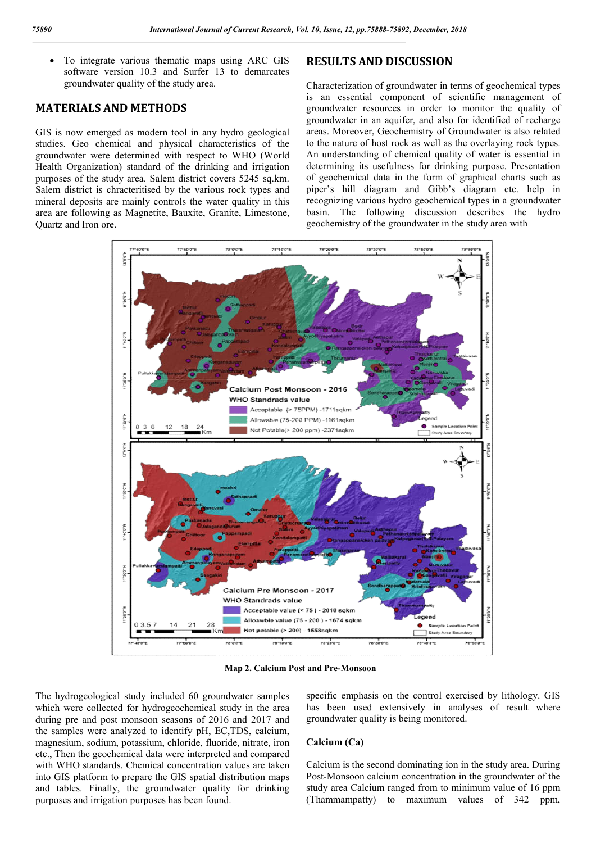To integrate various thematic maps using ARC GIS software version 10.3 and Surfer 13 to demarcates groundwater quality of the study area.

# **MATERIALS AND METHODS**

GIS is now emerged as modern tool in any hydro geological studies. Geo chemical and physical characteristics of the groundwater were determined with respect to WHO (World Health Organization) standard of the drinking and irrigation purposes of the study area. Salem district covers 5245 sq.km. Salem district is chracteritised by the various rock types and mineral deposits are mainly controls the water quality in this area are following as Magnetite, Bauxite, Granite, Limestone, Quartz and Iron ore.

Characterization of groundwater in terms of geochemical types is an essential component of scientific management of groundwater resources in order to monitor the quality of groundwater in an aquifer, and also for identified of recharge areas. Moreover, Geochemistry of Groundwater is also related to the nature of host rock as well as the overlaying rock types. An understanding of chemical quality of water is essential in determining its usefulness for drinking purpose. Presentation of geochemical data in the form of graphical charts such as piper's hill diagram and Gibb's diagram etc. help in recognizing various hydro geochemical types in a groundwater basin. The following discussion describes the hydro geochemistry of the groundwater in the study area with

![](_page_2_Figure_7.jpeg)

**Map 2. Calcium Post and Pre-Monsoon**

The hydrogeological study included 60 groundwater samples which were collected for hydrogeochemical study in the area during pre and post monsoon seasons of 2016 and 2017 and the samples were analyzed to identify pH, EC,TDS, calcium, magnesium, sodium, potassium, chloride, fluoride, nitrate, iron etc., Then the geochemical data were interpreted and compared with WHO standards. Chemical concentration values are taken into GIS platform to prepare the GIS spatial distribution maps and tables. Finally, the groundwater quality for drinking purposes and irrigation purposes has been found.

specific emphasis on the control exercised by lithology. GIS has been used extensively in analyses of result where groundwater quality is being monitored.

#### **Calcium (Ca)**

Calcium is the second dominating ion in the study area. During Post-Monsoon calcium concentration in the groundwater of the study area Calcium ranged from to minimum value of 16 ppm (Thammampatty) to maximum values of 342 ppm,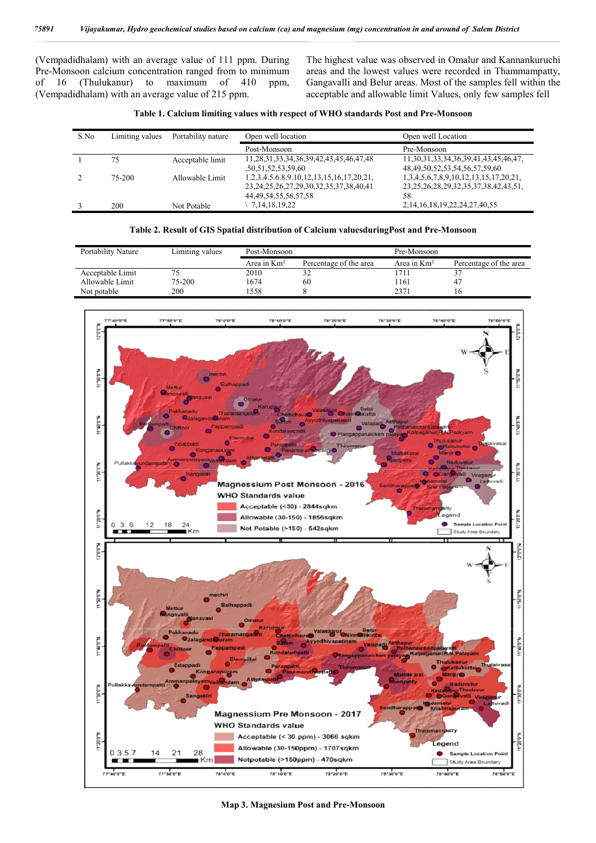(Vempadidhalam) with an average value of 111 ppm. During Pre-Monsoon calcium concentration ranged from to minimum of 16 (Thulukanur) to maximum of 410 ppm, (Vempadidhalam) with an average value of 215 ppm.

mpadidhalam) with an average value of 111 ppm. During The highest value was observed in Omalur and Kannankuruchi<br>Monsoon calcium concentration ranged from to minimum areas and the lowest values were recorded in Thammampatt Gangavalli and Belur areas. Most of the samples fell within the acceptable and allowable limit Values, only few samples fell st value was observed in Omalur and Kannankuru<br>the lowest values were recorded in Thammampa<br>i and Belur areas. Most of the samples fell within<br>and allowable limit Values, only few samples fel

|  |  |  |  |  |  |  | Table 1. Calcium limiting values with respect of WHO standards Post and Pre-Monsoon |  |  |  |  |
|--|--|--|--|--|--|--|-------------------------------------------------------------------------------------|--|--|--|--|
|--|--|--|--|--|--|--|-------------------------------------------------------------------------------------|--|--|--|--|

| S.No | Limiting values | Portability nature | Open well location                                                                             | Open well Location                                                                        |  |  |
|------|-----------------|--------------------|------------------------------------------------------------------------------------------------|-------------------------------------------------------------------------------------------|--|--|
|      |                 |                    | Post-Monsoon                                                                                   | Pre-Monsoon                                                                               |  |  |
|      | 75              | Acceptable limit   | 11,28,31,33,34,36,39,42,43,45,46,47,48<br>,50,51,52,53,59,60                                   | 11, 30, 31, 33, 34, 36, 39, 41, 43, 45, 46, 47,<br>48, 49, 50, 52, 53, 54, 56, 57, 59, 60 |  |  |
|      | 75-200          | Allowable Limit    | 1.2.3.4.5.6.8.9.10,12,13,15,16,17,20,21,<br>23, 24, 25, 26, 27, 29, 30, 32, 35, 37, 38, 40, 41 | 1,3,4,5,6,7,8,9,10,12,13,15,17,20,21,<br>23, 25, 26, 28, 29, 32, 35, 37, 38, 42, 43, 51,  |  |  |
|      | 200             | Not Potable        | 44, 49, 54, 55, 56, 57, 58<br>7, 14, 18, 19, 22                                                | 58<br>2, 14, 16, 18, 19, 22, 24, 27, 40, 55                                               |  |  |

| Portability Nature | Limiting values | Post-Monsoon  |                        | Pre-Monsoon    |                        |  |
|--------------------|-----------------|---------------|------------------------|----------------|------------------------|--|
|                    |                 | Area in $Km2$ | Percentage of the area | Area in $Km^2$ | Percentage of the area |  |
| Acceptable Limit   |                 | 2010          |                        | 711            |                        |  |
| Allowable Limit    | 75-200          | 1674          | 60                     | 161            | 41                     |  |
| Not potable        | 200             | 558           |                        | 2371           |                        |  |

![](_page_3_Figure_7.jpeg)

**Map 3. Magnesium Post and Pre-Monsoon**